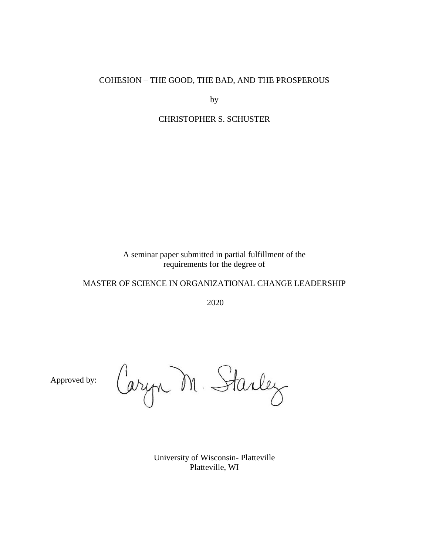# COHESION – THE GOOD, THE BAD, AND THE PROSPEROUS

by

# CHRISTOPHER S. SCHUSTER

A seminar paper submitted in partial fulfillment of the requirements for the degree of

# MASTER OF SCIENCE IN ORGANIZATIONAL CHANGE LEADERSHIP

2020

Approved by:

Caryn M. Starley

University of Wisconsin- Platteville Platteville, WI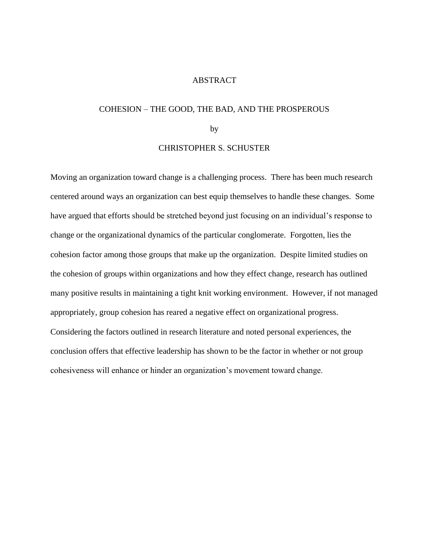#### ABSTRACT

# COHESION – THE GOOD, THE BAD, AND THE PROSPEROUS

# by

### CHRISTOPHER S. SCHUSTER

Moving an organization toward change is a challenging process. There has been much research centered around ways an organization can best equip themselves to handle these changes. Some have argued that efforts should be stretched beyond just focusing on an individual's response to change or the organizational dynamics of the particular conglomerate. Forgotten, lies the cohesion factor among those groups that make up the organization. Despite limited studies on the cohesion of groups within organizations and how they effect change, research has outlined many positive results in maintaining a tight knit working environment. However, if not managed appropriately, group cohesion has reared a negative effect on organizational progress. Considering the factors outlined in research literature and noted personal experiences, the conclusion offers that effective leadership has shown to be the factor in whether or not group cohesiveness will enhance or hinder an organization's movement toward change.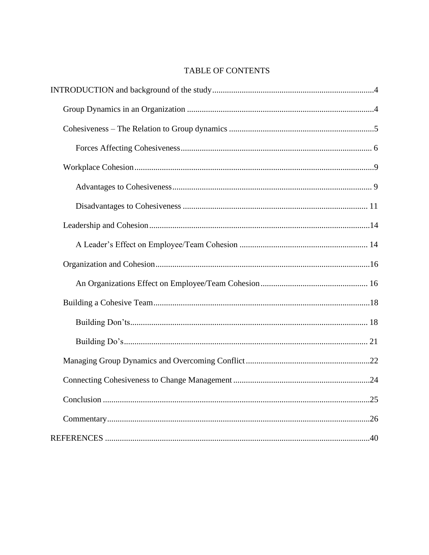# TABLE OF CONTENTS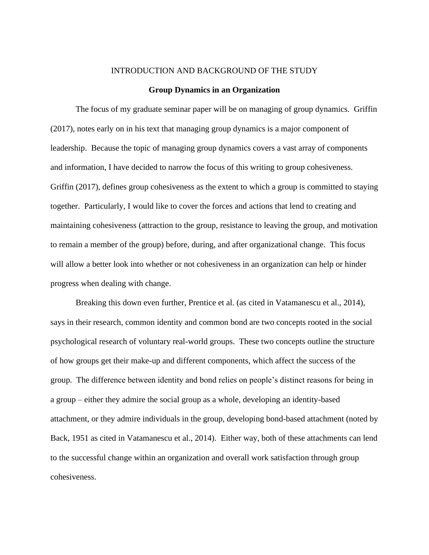#### INTRODUCTION AND BACKGROUND OF THE STUDY

#### **Group Dynamics in an Organization**

The focus of my graduate seminar paper will be on managing of group dynamics. Griffin (2017), notes early on in his text that managing group dynamics is a major component of leadership. Because the topic of managing group dynamics covers a vast array of components and information, I have decided to narrow the focus of this writing to group cohesiveness. Griffin (2017), defines group cohesiveness as the extent to which a group is committed to staying together. Particularly, I would like to cover the forces and actions that lend to creating and maintaining cohesiveness (attraction to the group, resistance to leaving the group, and motivation to remain a member of the group) before, during, and after organizational change. This focus will allow a better look into whether or not cohesiveness in an organization can help or hinder progress when dealing with change.

Breaking this down even further, Prentice et al. (as cited in Vatamanescu et al., 2014), says in their research, common identity and common bond are two concepts rooted in the social psychological research of voluntary real-world groups. These two concepts outline the structure of how groups get their make-up and different components, which affect the success of the group. The difference between identity and bond relies on people's distinct reasons for being in a group – either they admire the social group as a whole, developing an identity-based attachment, or they admire individuals in the group, developing bond-based attachment (noted by Back, 1951 as cited in Vatamanescu et al., 2014). Either way, both of these attachments can lend to the successful change within an organization and overall work satisfaction through group cohesiveness.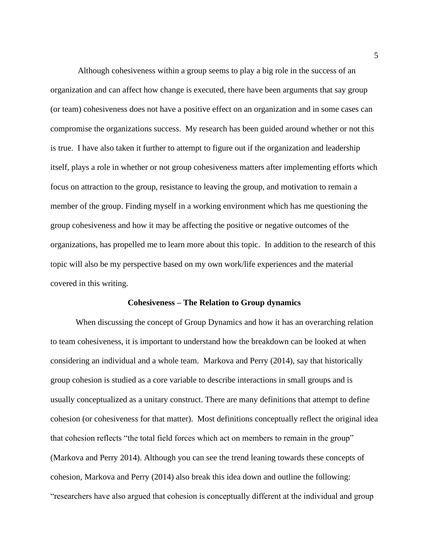Although cohesiveness within a group seems to play a big role in the success of an organization and can affect how change is executed, there have been arguments that say group (or team) cohesiveness does not have a positive effect on an organization and in some cases can compromise the organizations success. My research has been guided around whether or not this is true. I have also taken it further to attempt to figure out if the organization and leadership itself, plays a role in whether or not group cohesiveness matters after implementing efforts which focus on attraction to the group, resistance to leaving the group, and motivation to remain a member of the group. Finding myself in a working environment which has me questioning the group cohesiveness and how it may be affecting the positive or negative outcomes of the organizations, has propelled me to learn more about this topic. In addition to the research of this topic will also be my perspective based on my own work/life experiences and the material covered in this writing.

#### **Cohesiveness – The Relation to Group dynamics**

When discussing the concept of Group Dynamics and how it has an overarching relation to team cohesiveness, it is important to understand how the breakdown can be looked at when considering an individual and a whole team. Markova and Perry (2014), say that historically group cohesion is studied as a core variable to describe interactions in small groups and is usually conceptualized as a unitary construct. There are many definitions that attempt to define cohesion (or cohesiveness for that matter). Most definitions conceptually reflect the original idea that cohesion reflects "the total field forces which act on members to remain in the group" (Markova and Perry 2014). Although you can see the trend leaning towards these concepts of cohesion, Markova and Perry (2014) also break this idea down and outline the following: "researchers have also argued that cohesion is conceptually different at the individual and group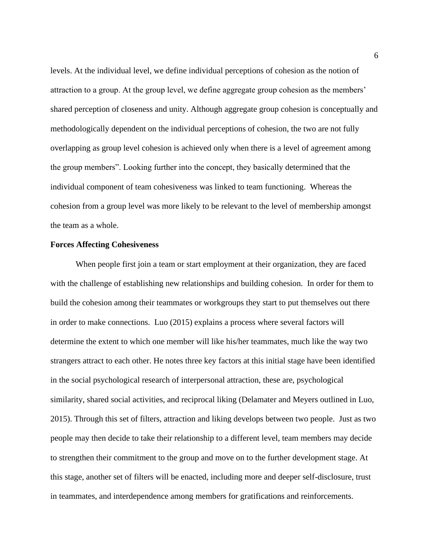levels. At the individual level, we define individual perceptions of cohesion as the notion of attraction to a group. At the group level, we define aggregate group cohesion as the members' shared perception of closeness and unity. Although aggregate group cohesion is conceptually and methodologically dependent on the individual perceptions of cohesion, the two are not fully overlapping as group level cohesion is achieved only when there is a level of agreement among the group members". Looking further into the concept, they basically determined that the individual component of team cohesiveness was linked to team functioning. Whereas the cohesion from a group level was more likely to be relevant to the level of membership amongst the team as a whole.

# **Forces Affecting Cohesiveness**

When people first join a team or start employment at their organization, they are faced with the challenge of establishing new relationships and building cohesion. In order for them to build the cohesion among their teammates or workgroups they start to put themselves out there in order to make connections. Luo (2015) explains a process where several factors will determine the extent to which one member will like his/her teammates, much like the way two strangers attract to each other. He notes three key factors at this initial stage have been identified in the social psychological research of interpersonal attraction, these are, psychological similarity, shared social activities, and reciprocal liking (Delamater and Meyers outlined in Luo, 2015). Through this set of filters, attraction and liking develops between two people. Just as two people may then decide to take their relationship to a different level, team members may decide to strengthen their commitment to the group and move on to the further development stage. At this stage, another set of filters will be enacted, including more and deeper self-disclosure, trust in teammates, and interdependence among members for gratifications and reinforcements.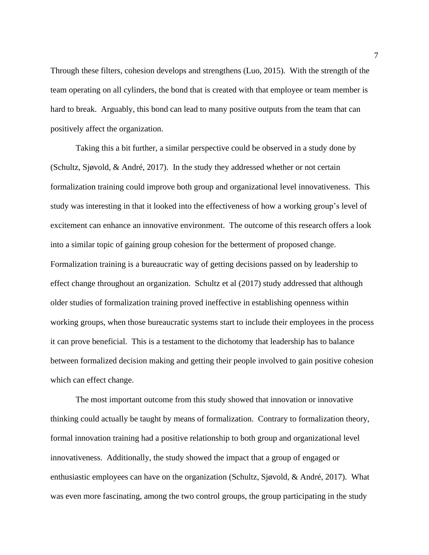Through these filters, cohesion develops and strengthens (Luo, 2015). With the strength of the team operating on all cylinders, the bond that is created with that employee or team member is hard to break. Arguably, this bond can lead to many positive outputs from the team that can positively affect the organization.

Taking this a bit further, a similar perspective could be observed in a study done by (Schultz, Sjøvold, & André, 2017). In the study they addressed whether or not certain formalization training could improve both group and organizational level innovativeness. This study was interesting in that it looked into the effectiveness of how a working group's level of excitement can enhance an innovative environment. The outcome of this research offers a look into a similar topic of gaining group cohesion for the betterment of proposed change. Formalization training is a bureaucratic way of getting decisions passed on by leadership to effect change throughout an organization. Schultz et al (2017) study addressed that although older studies of formalization training proved ineffective in establishing openness within working groups, when those bureaucratic systems start to include their employees in the process it can prove beneficial. This is a testament to the dichotomy that leadership has to balance between formalized decision making and getting their people involved to gain positive cohesion which can effect change.

The most important outcome from this study showed that innovation or innovative thinking could actually be taught by means of formalization. Contrary to formalization theory, formal innovation training had a positive relationship to both group and organizational level innovativeness. Additionally, the study showed the impact that a group of engaged or enthusiastic employees can have on the organization (Schultz, Sjøvold, & André, 2017). What was even more fascinating, among the two control groups, the group participating in the study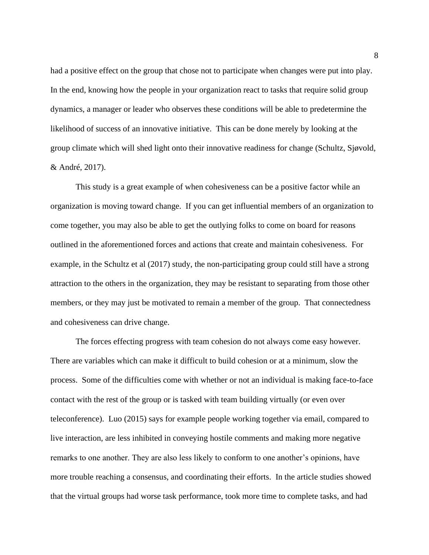had a positive effect on the group that chose not to participate when changes were put into play. In the end, knowing how the people in your organization react to tasks that require solid group dynamics, a manager or leader who observes these conditions will be able to predetermine the likelihood of success of an innovative initiative. This can be done merely by looking at the group climate which will shed light onto their innovative readiness for change (Schultz, Sjøvold, & André, 2017).

This study is a great example of when cohesiveness can be a positive factor while an organization is moving toward change. If you can get influential members of an organization to come together, you may also be able to get the outlying folks to come on board for reasons outlined in the aforementioned forces and actions that create and maintain cohesiveness. For example, in the Schultz et al (2017) study, the non-participating group could still have a strong attraction to the others in the organization, they may be resistant to separating from those other members, or they may just be motivated to remain a member of the group. That connectedness and cohesiveness can drive change.

The forces effecting progress with team cohesion do not always come easy however. There are variables which can make it difficult to build cohesion or at a minimum, slow the process. Some of the difficulties come with whether or not an individual is making face-to-face contact with the rest of the group or is tasked with team building virtually (or even over teleconference). Luo (2015) says for example people working together via email, compared to live interaction, are less inhibited in conveying hostile comments and making more negative remarks to one another. They are also less likely to conform to one another's opinions, have more trouble reaching a consensus, and coordinating their efforts. In the article studies showed that the virtual groups had worse task performance, took more time to complete tasks, and had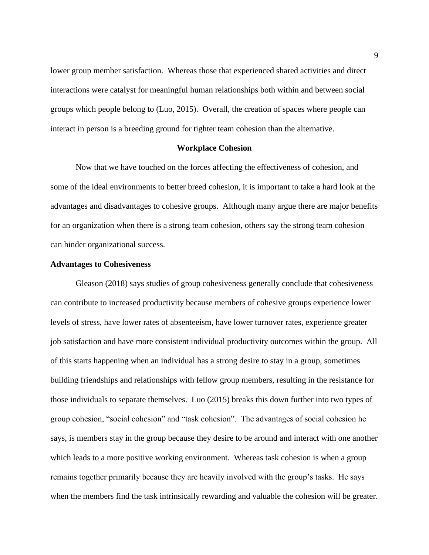lower group member satisfaction. Whereas those that experienced shared activities and direct interactions were catalyst for meaningful human relationships both within and between social groups which people belong to (Luo, 2015). Overall, the creation of spaces where people can interact in person is a breeding ground for tighter team cohesion than the alternative.

#### **Workplace Cohesion**

Now that we have touched on the forces affecting the effectiveness of cohesion, and some of the ideal environments to better breed cohesion, it is important to take a hard look at the advantages and disadvantages to cohesive groups. Although many argue there are major benefits for an organization when there is a strong team cohesion, others say the strong team cohesion can hinder organizational success.

# **Advantages to Cohesiveness**

Gleason (2018) says studies of group cohesiveness generally conclude that cohesiveness can contribute to increased productivity because members of cohesive groups experience lower levels of stress, have lower rates of absenteeism, have lower turnover rates, experience greater job satisfaction and have more consistent individual productivity outcomes within the group. All of this starts happening when an individual has a strong desire to stay in a group, sometimes building friendships and relationships with fellow group members, resulting in the resistance for those individuals to separate themselves. Luo (2015) breaks this down further into two types of group cohesion, "social cohesion" and "task cohesion". The advantages of social cohesion he says, is members stay in the group because they desire to be around and interact with one another which leads to a more positive working environment. Whereas task cohesion is when a group remains together primarily because they are heavily involved with the group's tasks. He says when the members find the task intrinsically rewarding and valuable the cohesion will be greater.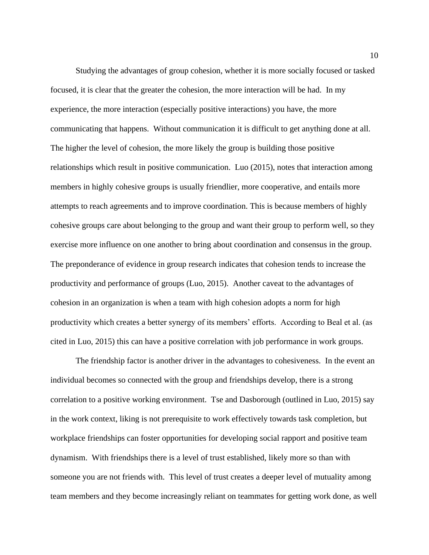Studying the advantages of group cohesion, whether it is more socially focused or tasked focused, it is clear that the greater the cohesion, the more interaction will be had. In my experience, the more interaction (especially positive interactions) you have, the more communicating that happens. Without communication it is difficult to get anything done at all. The higher the level of cohesion, the more likely the group is building those positive relationships which result in positive communication. Luo (2015), notes that interaction among members in highly cohesive groups is usually friendlier, more cooperative, and entails more attempts to reach agreements and to improve coordination. This is because members of highly cohesive groups care about belonging to the group and want their group to perform well, so they exercise more influence on one another to bring about coordination and consensus in the group. The preponderance of evidence in group research indicates that cohesion tends to increase the productivity and performance of groups (Luo, 2015). Another caveat to the advantages of cohesion in an organization is when a team with high cohesion adopts a norm for high productivity which creates a better synergy of its members' efforts. According to Beal et al. (as cited in Luo, 2015) this can have a positive correlation with job performance in work groups.

The friendship factor is another driver in the advantages to cohesiveness. In the event an individual becomes so connected with the group and friendships develop, there is a strong correlation to a positive working environment. Tse and Dasborough (outlined in Luo, 2015) say in the work context, liking is not prerequisite to work effectively towards task completion, but workplace friendships can foster opportunities for developing social rapport and positive team dynamism. With friendships there is a level of trust established, likely more so than with someone you are not friends with. This level of trust creates a deeper level of mutuality among team members and they become increasingly reliant on teammates for getting work done, as well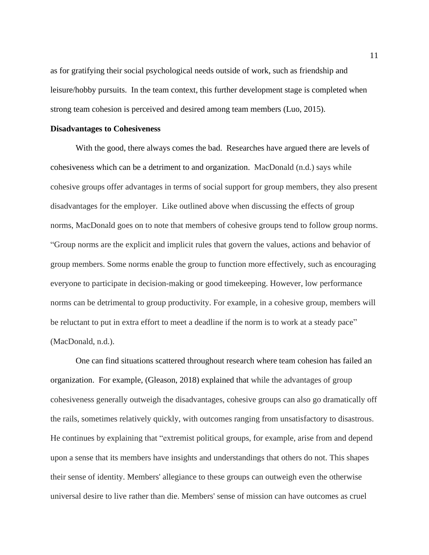as for gratifying their social psychological needs outside of work, such as friendship and leisure/hobby pursuits. In the team context, this further development stage is completed when strong team cohesion is perceived and desired among team members (Luo, 2015).

# **Disadvantages to Cohesiveness**

With the good, there always comes the bad. Researches have argued there are levels of cohesiveness which can be a detriment to and organization. MacDonald (n.d.) says while cohesive groups offer advantages in terms of social support for group members, they also present disadvantages for the employer. Like outlined above when discussing the effects of group norms, MacDonald goes on to note that members of cohesive groups tend to follow group norms. "Group norms are the explicit and implicit rules that govern the values, actions and behavior of group members. Some norms enable the group to function more effectively, such as encouraging everyone to participate in decision-making or good timekeeping. However, low performance norms can be detrimental to group productivity. For example, in a cohesive group, members will be reluctant to put in extra effort to meet a deadline if the norm is to work at a steady pace" (MacDonald, n.d.).

One can find situations scattered throughout research where team cohesion has failed an organization. For example, (Gleason, 2018) explained that while the advantages of group cohesiveness generally outweigh the disadvantages, cohesive groups can also go dramatically off the rails, sometimes relatively quickly, with outcomes ranging from unsatisfactory to disastrous. He continues by explaining that "extremist political groups, for example, arise from and depend upon a sense that its members have insights and understandings that others do not. This shapes their sense of identity. Members' allegiance to these groups can outweigh even the otherwise universal desire to live rather than die. Members' sense of mission can have outcomes as cruel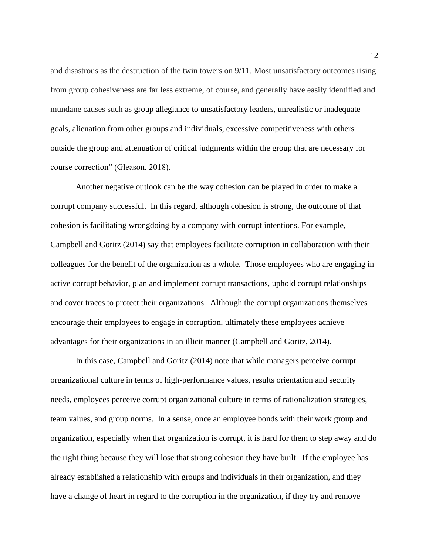and disastrous as the destruction of the twin towers on 9/11. Most unsatisfactory outcomes rising from group cohesiveness are far less extreme, of course, and generally have easily identified and mundane causes such as group allegiance to unsatisfactory leaders, unrealistic or inadequate goals, alienation from other groups and individuals, excessive competitiveness with others outside the group and attenuation of critical judgments within the group that are necessary for course correction" (Gleason, 2018).

Another negative outlook can be the way cohesion can be played in order to make a corrupt company successful. In this regard, although cohesion is strong, the outcome of that cohesion is facilitating wrongdoing by a company with corrupt intentions. For example, Campbell and Goritz (2014) say that employees facilitate corruption in collaboration with their colleagues for the benefit of the organization as a whole. Those employees who are engaging in active corrupt behavior, plan and implement corrupt transactions, uphold corrupt relationships and cover traces to protect their organizations. Although the corrupt organizations themselves encourage their employees to engage in corruption, ultimately these employees achieve advantages for their organizations in an illicit manner (Campbell and Goritz, 2014).

In this case, Campbell and Goritz (2014) note that while managers perceive corrupt organizational culture in terms of high-performance values, results orientation and security needs, employees perceive corrupt organizational culture in terms of rationalization strategies, team values, and group norms. In a sense, once an employee bonds with their work group and organization, especially when that organization is corrupt, it is hard for them to step away and do the right thing because they will lose that strong cohesion they have built. If the employee has already established a relationship with groups and individuals in their organization, and they have a change of heart in regard to the corruption in the organization, if they try and remove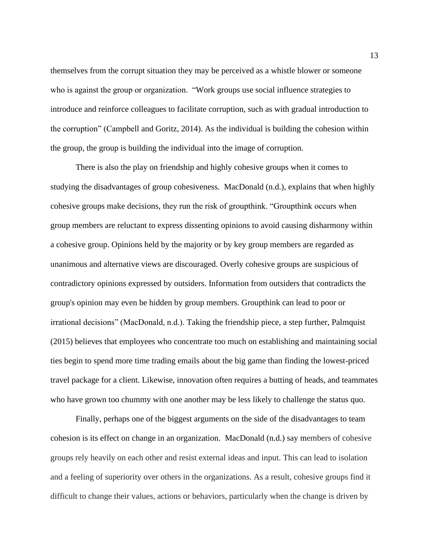themselves from the corrupt situation they may be perceived as a whistle blower or someone who is against the group or organization. "Work groups use social influence strategies to introduce and reinforce colleagues to facilitate corruption, such as with gradual introduction to the corruption" (Campbell and Goritz, 2014). As the individual is building the cohesion within the group, the group is building the individual into the image of corruption.

There is also the play on friendship and highly cohesive groups when it comes to studying the disadvantages of group cohesiveness. MacDonald (n.d.), explains that when highly cohesive groups make decisions, they run the risk of groupthink. "Groupthink occurs when group members are reluctant to express dissenting opinions to avoid causing disharmony within a cohesive group. Opinions held by the majority or by key group members are regarded as unanimous and alternative views are discouraged. Overly cohesive groups are suspicious of contradictory opinions expressed by outsiders. Information from outsiders that contradicts the group's opinion may even be hidden by group members. Groupthink can lead to poor or irrational decisions" (MacDonald, n.d.). Taking the friendship piece, a step further, Palmquist (2015) believes that employees who concentrate too much on establishing and maintaining social ties begin to spend more time trading emails about the big game than finding the lowest-priced travel package for a client. Likewise, innovation often requires a butting of heads, and teammates who have grown too chummy with one another may be less likely to challenge the status quo.

Finally, perhaps one of the biggest arguments on the side of the disadvantages to team cohesion is its effect on change in an organization. MacDonald (n.d.) say members of cohesive groups rely heavily on each other and resist external ideas and input. This can lead to isolation and a feeling of superiority over others in the organizations. As a result, cohesive groups find it difficult to change their values, actions or behaviors, particularly when the change is driven by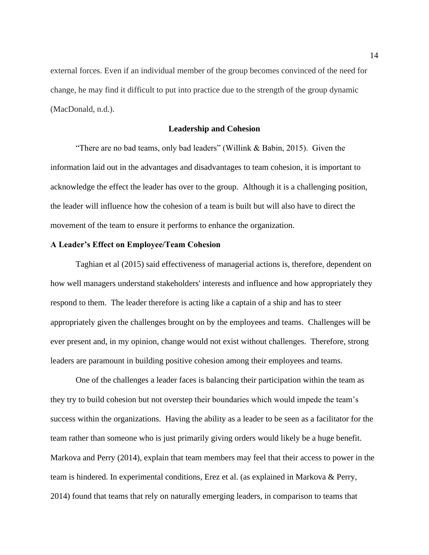external forces. Even if an individual member of the group becomes convinced of the need for change, he may find it difficult to put into practice due to the strength of the group dynamic (MacDonald, n.d.).

# **Leadership and Cohesion**

"There are no bad teams, only bad leaders" (Willink & Babin, 2015). Given the information laid out in the advantages and disadvantages to team cohesion, it is important to acknowledge the effect the leader has over to the group. Although it is a challenging position, the leader will influence how the cohesion of a team is built but will also have to direct the movement of the team to ensure it performs to enhance the organization.

# **A Leader's Effect on Employee/Team Cohesion**

Taghian et al (2015) said effectiveness of managerial actions is, therefore, dependent on how well managers understand stakeholders' interests and influence and how appropriately they respond to them. The leader therefore is acting like a captain of a ship and has to steer appropriately given the challenges brought on by the employees and teams. Challenges will be ever present and, in my opinion, change would not exist without challenges. Therefore, strong leaders are paramount in building positive cohesion among their employees and teams.

One of the challenges a leader faces is balancing their participation within the team as they try to build cohesion but not overstep their boundaries which would impede the team's success within the organizations. Having the ability as a leader to be seen as a facilitator for the team rather than someone who is just primarily giving orders would likely be a huge benefit. Markova and Perry (2014), explain that team members may feel that their access to power in the team is hindered. In experimental conditions, Erez et al. (as explained in Markova & Perry, 2014) found that teams that rely on naturally emerging leaders, in comparison to teams that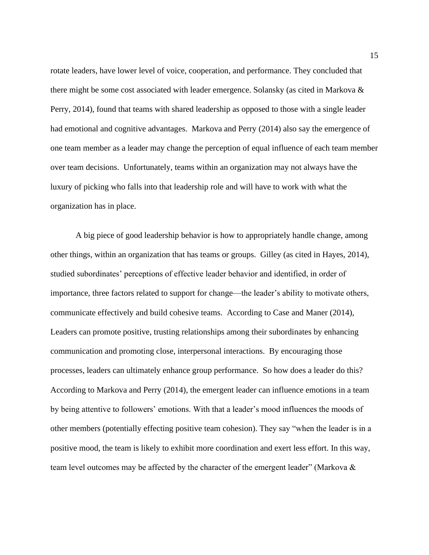rotate leaders, have lower level of voice, cooperation, and performance. They concluded that there might be some cost associated with leader emergence. Solansky (as cited in Markova & Perry, 2014), found that teams with shared leadership as opposed to those with a single leader had emotional and cognitive advantages. Markova and Perry (2014) also say the emergence of one team member as a leader may change the perception of equal influence of each team member over team decisions. Unfortunately, teams within an organization may not always have the luxury of picking who falls into that leadership role and will have to work with what the organization has in place.

A big piece of good leadership behavior is how to appropriately handle change, among other things, within an organization that has teams or groups. Gilley (as cited in Hayes, 2014), studied subordinates' perceptions of effective leader behavior and identified, in order of importance, three factors related to support for change—the leader's ability to motivate others, communicate effectively and build cohesive teams. According to Case and Maner (2014), Leaders can promote positive, trusting relationships among their subordinates by enhancing communication and promoting close, interpersonal interactions. By encouraging those processes, leaders can ultimately enhance group performance. So how does a leader do this? According to Markova and Perry (2014), the emergent leader can influence emotions in a team by being attentive to followers' emotions. With that a leader's mood influences the moods of other members (potentially effecting positive team cohesion). They say "when the leader is in a positive mood, the team is likely to exhibit more coordination and exert less effort. In this way, team level outcomes may be affected by the character of the emergent leader" (Markova &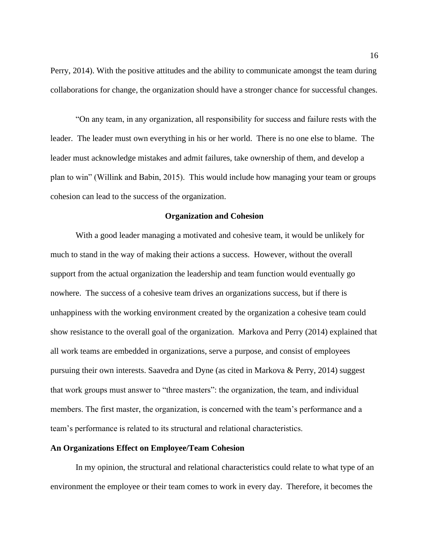Perry, 2014). With the positive attitudes and the ability to communicate amongst the team during collaborations for change, the organization should have a stronger chance for successful changes.

"On any team, in any organization, all responsibility for success and failure rests with the leader. The leader must own everything in his or her world. There is no one else to blame. The leader must acknowledge mistakes and admit failures, take ownership of them, and develop a plan to win" (Willink and Babin, 2015). This would include how managing your team or groups cohesion can lead to the success of the organization.

# **Organization and Cohesion**

With a good leader managing a motivated and cohesive team, it would be unlikely for much to stand in the way of making their actions a success. However, without the overall support from the actual organization the leadership and team function would eventually go nowhere. The success of a cohesive team drives an organizations success, but if there is unhappiness with the working environment created by the organization a cohesive team could show resistance to the overall goal of the organization. Markova and Perry (2014) explained that all work teams are embedded in organizations, serve a purpose, and consist of employees pursuing their own interests. Saavedra and Dyne (as cited in Markova & Perry, 2014) suggest that work groups must answer to "three masters": the organization, the team, and individual members. The first master, the organization, is concerned with the team's performance and a team's performance is related to its structural and relational characteristics.

# **An Organizations Effect on Employee/Team Cohesion**

In my opinion, the structural and relational characteristics could relate to what type of an environment the employee or their team comes to work in every day. Therefore, it becomes the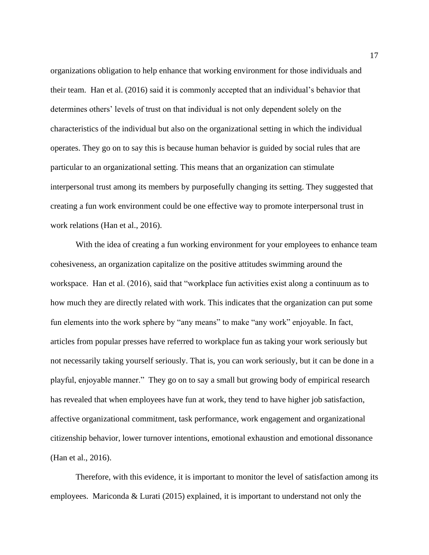organizations obligation to help enhance that working environment for those individuals and their team. Han et al. (2016) said it is commonly accepted that an individual's behavior that determines others' levels of trust on that individual is not only dependent solely on the characteristics of the individual but also on the organizational setting in which the individual operates. They go on to say this is because human behavior is guided by social rules that are particular to an organizational setting. This means that an organization can stimulate interpersonal trust among its members by purposefully changing its setting. They suggested that creating a fun work environment could be one effective way to promote interpersonal trust in work relations (Han et al., 2016).

With the idea of creating a fun working environment for your employees to enhance team cohesiveness, an organization capitalize on the positive attitudes swimming around the workspace. Han et al. (2016), said that "workplace fun activities exist along a continuum as to how much they are directly related with work. This indicates that the organization can put some fun elements into the work sphere by "any means" to make "any work" enjoyable. In fact, articles from popular presses have referred to workplace fun as taking your work seriously but not necessarily taking yourself seriously. That is, you can work seriously, but it can be done in a playful, enjoyable manner." They go on to say a small but growing body of empirical research has revealed that when employees have fun at work, they tend to have higher job satisfaction, affective organizational commitment, task performance, work engagement and organizational citizenship behavior, lower turnover intentions, emotional exhaustion and emotional dissonance (Han et al., 2016).

Therefore, with this evidence, it is important to monitor the level of satisfaction among its employees. Mariconda  $& Lurati (2015)$  explained, it is important to understand not only the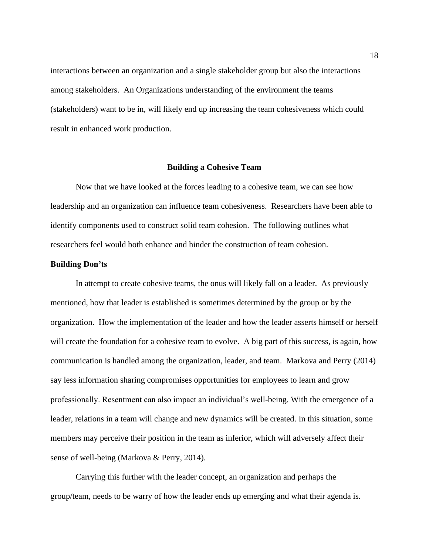interactions between an organization and a single stakeholder group but also the interactions among stakeholders. An Organizations understanding of the environment the teams (stakeholders) want to be in, will likely end up increasing the team cohesiveness which could result in enhanced work production.

# **Building a Cohesive Team**

Now that we have looked at the forces leading to a cohesive team, we can see how leadership and an organization can influence team cohesiveness. Researchers have been able to identify components used to construct solid team cohesion. The following outlines what researchers feel would both enhance and hinder the construction of team cohesion.

#### **Building Don'ts**

In attempt to create cohesive teams, the onus will likely fall on a leader. As previously mentioned, how that leader is established is sometimes determined by the group or by the organization. How the implementation of the leader and how the leader asserts himself or herself will create the foundation for a cohesive team to evolve. A big part of this success, is again, how communication is handled among the organization, leader, and team. Markova and Perry (2014) say less information sharing compromises opportunities for employees to learn and grow professionally. Resentment can also impact an individual's well-being. With the emergence of a leader, relations in a team will change and new dynamics will be created. In this situation, some members may perceive their position in the team as inferior, which will adversely affect their sense of well-being (Markova & Perry, 2014).

Carrying this further with the leader concept, an organization and perhaps the group/team, needs to be warry of how the leader ends up emerging and what their agenda is.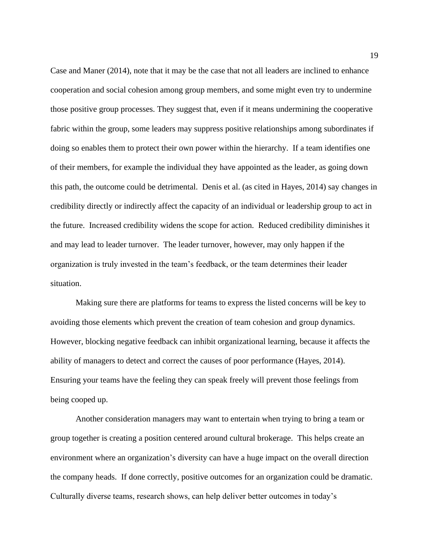Case and Maner (2014), note that it may be the case that not all leaders are inclined to enhance cooperation and social cohesion among group members, and some might even try to undermine those positive group processes. They suggest that, even if it means undermining the cooperative fabric within the group, some leaders may suppress positive relationships among subordinates if doing so enables them to protect their own power within the hierarchy. If a team identifies one of their members, for example the individual they have appointed as the leader, as going down this path, the outcome could be detrimental. Denis et al. (as cited in Hayes, 2014) say changes in credibility directly or indirectly affect the capacity of an individual or leadership group to act in the future. Increased credibility widens the scope for action. Reduced credibility diminishes it and may lead to leader turnover. The leader turnover, however, may only happen if the organization is truly invested in the team's feedback, or the team determines their leader situation.

Making sure there are platforms for teams to express the listed concerns will be key to avoiding those elements which prevent the creation of team cohesion and group dynamics. However, blocking negative feedback can inhibit organizational learning, because it affects the ability of managers to detect and correct the causes of poor performance (Hayes, 2014). Ensuring your teams have the feeling they can speak freely will prevent those feelings from being cooped up.

Another consideration managers may want to entertain when trying to bring a team or group together is creating a position centered around cultural brokerage. This helps create an environment where an organization's diversity can have a huge impact on the overall direction the company heads. If done correctly, positive outcomes for an organization could be dramatic. Culturally diverse teams, research shows, can help deliver better outcomes in today's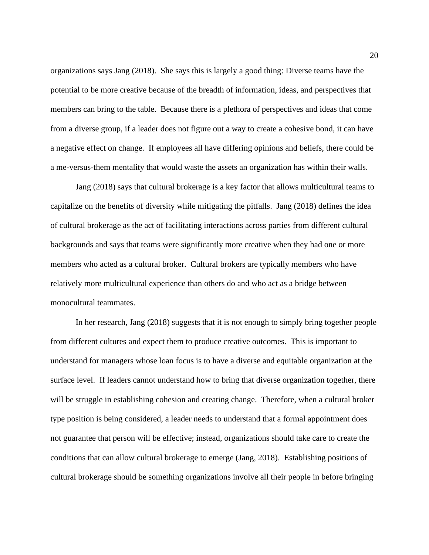organizations says Jang (2018). She says this is largely a good thing: Diverse teams have the potential to be more creative because of the breadth of information, ideas, and perspectives that members can bring to the table. Because there is a plethora of perspectives and ideas that come from a diverse group, if a leader does not figure out a way to create a cohesive bond, it can have a negative effect on change. If employees all have differing opinions and beliefs, there could be a me-versus-them mentality that would waste the assets an organization has within their walls.

Jang (2018) says that cultural brokerage is a key factor that allows multicultural teams to capitalize on the benefits of diversity while mitigating the pitfalls. Jang (2018) defines the idea of cultural brokerage as the act of facilitating interactions across parties from different cultural backgrounds and says that teams were significantly more creative when they had one or more members who acted as a cultural broker. Cultural brokers are typically members who have relatively more multicultural experience than others do and who act as a bridge between monocultural teammates.

In her research, Jang (2018) suggests that it is not enough to simply bring together people from different cultures and expect them to produce creative outcomes. This is important to understand for managers whose loan focus is to have a diverse and equitable organization at the surface level. If leaders cannot understand how to bring that diverse organization together, there will be struggle in establishing cohesion and creating change. Therefore, when a cultural broker type position is being considered, a leader needs to understand that a formal appointment does not guarantee that person will be effective; instead, organizations should take care to create the conditions that can allow cultural brokerage to emerge (Jang, 2018). Establishing positions of cultural brokerage should be something organizations involve all their people in before bringing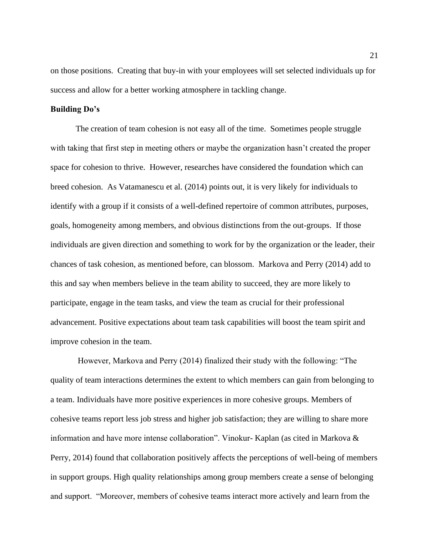on those positions. Creating that buy-in with your employees will set selected individuals up for success and allow for a better working atmosphere in tackling change.

#### **Building Do's**

The creation of team cohesion is not easy all of the time. Sometimes people struggle with taking that first step in meeting others or maybe the organization hasn't created the proper space for cohesion to thrive. However, researches have considered the foundation which can breed cohesion. As Vatamanescu et al. (2014) points out, it is very likely for individuals to identify with a group if it consists of a well-defined repertoire of common attributes, purposes, goals, homogeneity among members, and obvious distinctions from the out-groups. If those individuals are given direction and something to work for by the organization or the leader, their chances of task cohesion, as mentioned before, can blossom. Markova and Perry (2014) add to this and say when members believe in the team ability to succeed, they are more likely to participate, engage in the team tasks, and view the team as crucial for their professional advancement. Positive expectations about team task capabilities will boost the team spirit and improve cohesion in the team.

However, Markova and Perry (2014) finalized their study with the following: "The quality of team interactions determines the extent to which members can gain from belonging to a team. Individuals have more positive experiences in more cohesive groups. Members of cohesive teams report less job stress and higher job satisfaction; they are willing to share more information and have more intense collaboration". Vinokur- Kaplan (as cited in Markova & Perry, 2014) found that collaboration positively affects the perceptions of well-being of members in support groups. High quality relationships among group members create a sense of belonging and support. "Moreover, members of cohesive teams interact more actively and learn from the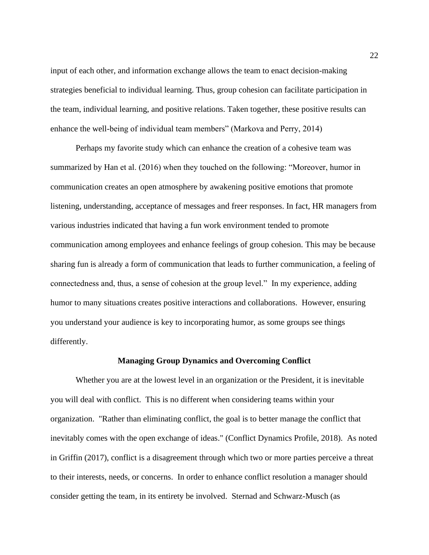input of each other, and information exchange allows the team to enact decision-making strategies beneficial to individual learning. Thus, group cohesion can facilitate participation in the team, individual learning, and positive relations. Taken together, these positive results can enhance the well-being of individual team members" (Markova and Perry, 2014)

Perhaps my favorite study which can enhance the creation of a cohesive team was summarized by Han et al. (2016) when they touched on the following: "Moreover, humor in communication creates an open atmosphere by awakening positive emotions that promote listening, understanding, acceptance of messages and freer responses. In fact, HR managers from various industries indicated that having a fun work environment tended to promote communication among employees and enhance feelings of group cohesion. This may be because sharing fun is already a form of communication that leads to further communication, a feeling of connectedness and, thus, a sense of cohesion at the group level." In my experience, adding humor to many situations creates positive interactions and collaborations. However, ensuring you understand your audience is key to incorporating humor, as some groups see things differently.

# **Managing Group Dynamics and Overcoming Conflict**

Whether you are at the lowest level in an organization or the President, it is inevitable you will deal with conflict. This is no different when considering teams within your organization. "Rather than eliminating conflict, the goal is to better manage the conflict that inevitably comes with the open exchange of ideas." (Conflict Dynamics Profile, 2018). As noted in Griffin (2017), conflict is a disagreement through which two or more parties perceive a threat to their interests, needs, or concerns. In order to enhance conflict resolution a manager should consider getting the team, in its entirety be involved. Sternad and Schwarz-Musch (as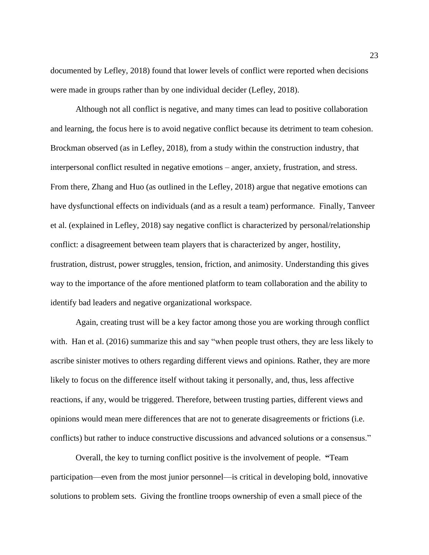documented by Lefley, 2018) found that lower levels of conflict were reported when decisions were made in groups rather than by one individual decider (Lefley, 2018).

Although not all conflict is negative, and many times can lead to positive collaboration and learning, the focus here is to avoid negative conflict because its detriment to team cohesion. Brockman observed (as in Lefley, 2018), from a study within the construction industry, that interpersonal conflict resulted in negative emotions – anger, anxiety, frustration, and stress. From there, Zhang and Huo (as outlined in the Lefley, 2018) argue that negative emotions can have dysfunctional effects on individuals (and as a result a team) performance. Finally, Tanveer et al. (explained in Lefley, 2018) say negative conflict is characterized by personal/relationship conflict: a disagreement between team players that is characterized by anger, hostility, frustration, distrust, power struggles, tension, friction, and animosity. Understanding this gives way to the importance of the afore mentioned platform to team collaboration and the ability to identify bad leaders and negative organizational workspace.

Again, creating trust will be a key factor among those you are working through conflict with. Han et al. (2016) summarize this and say "when people trust others, they are less likely to ascribe sinister motives to others regarding different views and opinions. Rather, they are more likely to focus on the difference itself without taking it personally, and, thus, less affective reactions, if any, would be triggered. Therefore, between trusting parties, different views and opinions would mean mere differences that are not to generate disagreements or frictions (i.e. conflicts) but rather to induce constructive discussions and advanced solutions or a consensus."

Overall, the key to turning conflict positive is the involvement of people. **"**Team participation—even from the most junior personnel—is critical in developing bold, innovative solutions to problem sets. Giving the frontline troops ownership of even a small piece of the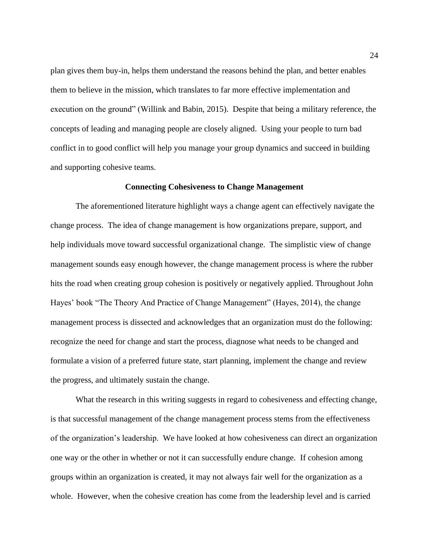plan gives them buy-in, helps them understand the reasons behind the plan, and better enables them to believe in the mission, which translates to far more effective implementation and execution on the ground" (Willink and Babin, 2015). Despite that being a military reference, the concepts of leading and managing people are closely aligned. Using your people to turn bad conflict in to good conflict will help you manage your group dynamics and succeed in building and supporting cohesive teams.

#### **Connecting Cohesiveness to Change Management**

The aforementioned literature highlight ways a change agent can effectively navigate the change process. The idea of change management is how organizations prepare, support, and help individuals move toward successful organizational change. The simplistic view of change management sounds easy enough however, the change management process is where the rubber hits the road when creating group cohesion is positively or negatively applied. Throughout John Hayes' book "The Theory And Practice of Change Management" (Hayes, 2014), the change management process is dissected and acknowledges that an organization must do the following: recognize the need for change and start the process, diagnose what needs to be changed and formulate a vision of a preferred future state, start planning, implement the change and review the progress, and ultimately sustain the change.

What the research in this writing suggests in regard to cohesiveness and effecting change, is that successful management of the change management process stems from the effectiveness of the organization's leadership. We have looked at how cohesiveness can direct an organization one way or the other in whether or not it can successfully endure change. If cohesion among groups within an organization is created, it may not always fair well for the organization as a whole. However, when the cohesive creation has come from the leadership level and is carried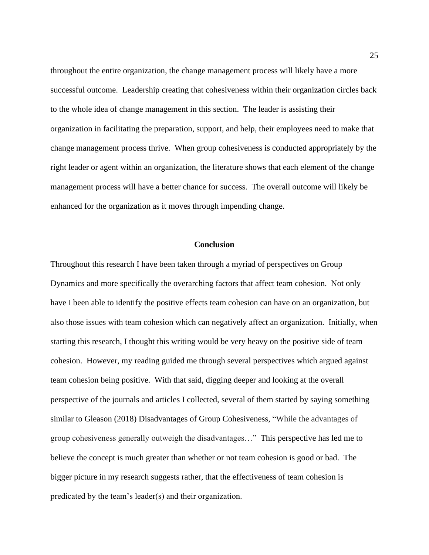throughout the entire organization, the change management process will likely have a more successful outcome. Leadership creating that cohesiveness within their organization circles back to the whole idea of change management in this section. The leader is assisting their organization in facilitating the preparation, support, and help, their employees need to make that change management process thrive. When group cohesiveness is conducted appropriately by the right leader or agent within an organization, the literature shows that each element of the change management process will have a better chance for success. The overall outcome will likely be enhanced for the organization as it moves through impending change.

#### **Conclusion**

Throughout this research I have been taken through a myriad of perspectives on Group Dynamics and more specifically the overarching factors that affect team cohesion. Not only have I been able to identify the positive effects team cohesion can have on an organization, but also those issues with team cohesion which can negatively affect an organization. Initially, when starting this research, I thought this writing would be very heavy on the positive side of team cohesion. However, my reading guided me through several perspectives which argued against team cohesion being positive. With that said, digging deeper and looking at the overall perspective of the journals and articles I collected, several of them started by saying something similar to Gleason (2018) Disadvantages of Group Cohesiveness, "While the advantages of group cohesiveness generally outweigh the disadvantages…" This perspective has led me to believe the concept is much greater than whether or not team cohesion is good or bad. The bigger picture in my research suggests rather, that the effectiveness of team cohesion is predicated by the team's leader(s) and their organization.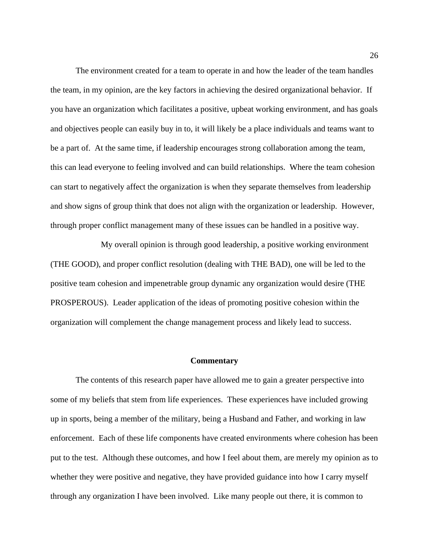The environment created for a team to operate in and how the leader of the team handles the team, in my opinion, are the key factors in achieving the desired organizational behavior. If you have an organization which facilitates a positive, upbeat working environment, and has goals and objectives people can easily buy in to, it will likely be a place individuals and teams want to be a part of. At the same time, if leadership encourages strong collaboration among the team, this can lead everyone to feeling involved and can build relationships. Where the team cohesion can start to negatively affect the organization is when they separate themselves from leadership and show signs of group think that does not align with the organization or leadership. However, through proper conflict management many of these issues can be handled in a positive way.

My overall opinion is through good leadership, a positive working environment (THE GOOD), and proper conflict resolution (dealing with THE BAD), one will be led to the positive team cohesion and impenetrable group dynamic any organization would desire (THE PROSPEROUS). Leader application of the ideas of promoting positive cohesion within the organization will complement the change management process and likely lead to success.

#### **Commentary**

The contents of this research paper have allowed me to gain a greater perspective into some of my beliefs that stem from life experiences. These experiences have included growing up in sports, being a member of the military, being a Husband and Father, and working in law enforcement. Each of these life components have created environments where cohesion has been put to the test. Although these outcomes, and how I feel about them, are merely my opinion as to whether they were positive and negative, they have provided guidance into how I carry myself through any organization I have been involved. Like many people out there, it is common to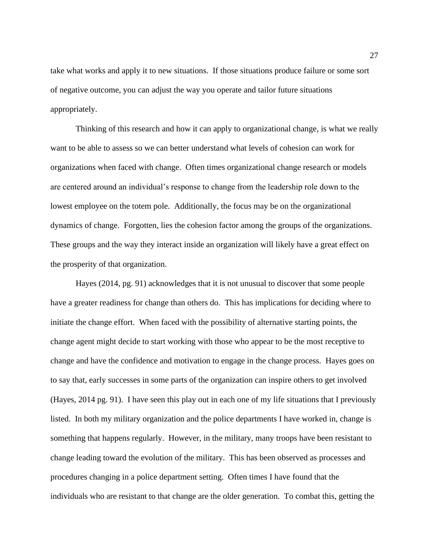take what works and apply it to new situations. If those situations produce failure or some sort of negative outcome, you can adjust the way you operate and tailor future situations appropriately.

Thinking of this research and how it can apply to organizational change, is what we really want to be able to assess so we can better understand what levels of cohesion can work for organizations when faced with change. Often times organizational change research or models are centered around an individual's response to change from the leadership role down to the lowest employee on the totem pole. Additionally, the focus may be on the organizational dynamics of change. Forgotten, lies the cohesion factor among the groups of the organizations. These groups and the way they interact inside an organization will likely have a great effect on the prosperity of that organization.

Hayes (2014, pg. 91) acknowledges that it is not unusual to discover that some people have a greater readiness for change than others do. This has implications for deciding where to initiate the change effort. When faced with the possibility of alternative starting points, the change agent might decide to start working with those who appear to be the most receptive to change and have the confidence and motivation to engage in the change process. Hayes goes on to say that, early successes in some parts of the organization can inspire others to get involved (Hayes, 2014 pg. 91). I have seen this play out in each one of my life situations that I previously listed. In both my military organization and the police departments I have worked in, change is something that happens regularly. However, in the military, many troops have been resistant to change leading toward the evolution of the military. This has been observed as processes and procedures changing in a police department setting. Often times I have found that the individuals who are resistant to that change are the older generation. To combat this, getting the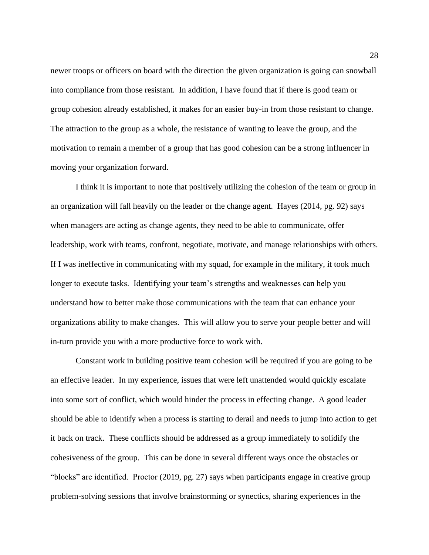newer troops or officers on board with the direction the given organization is going can snowball into compliance from those resistant. In addition, I have found that if there is good team or group cohesion already established, it makes for an easier buy-in from those resistant to change. The attraction to the group as a whole, the resistance of wanting to leave the group, and the motivation to remain a member of a group that has good cohesion can be a strong influencer in moving your organization forward.

I think it is important to note that positively utilizing the cohesion of the team or group in an organization will fall heavily on the leader or the change agent. Hayes (2014, pg. 92) says when managers are acting as change agents, they need to be able to communicate, offer leadership, work with teams, confront, negotiate, motivate, and manage relationships with others. If I was ineffective in communicating with my squad, for example in the military, it took much longer to execute tasks. Identifying your team's strengths and weaknesses can help you understand how to better make those communications with the team that can enhance your organizations ability to make changes. This will allow you to serve your people better and will in-turn provide you with a more productive force to work with.

Constant work in building positive team cohesion will be required if you are going to be an effective leader. In my experience, issues that were left unattended would quickly escalate into some sort of conflict, which would hinder the process in effecting change. A good leader should be able to identify when a process is starting to derail and needs to jump into action to get it back on track. These conflicts should be addressed as a group immediately to solidify the cohesiveness of the group. This can be done in several different ways once the obstacles or "blocks" are identified. Proctor (2019, pg. 27) says when participants engage in creative group problem-solving sessions that involve brainstorming or synectics, sharing experiences in the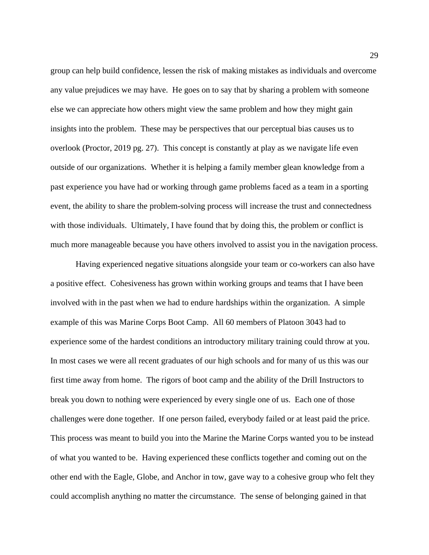group can help build confidence, lessen the risk of making mistakes as individuals and overcome any value prejudices we may have. He goes on to say that by sharing a problem with someone else we can appreciate how others might view the same problem and how they might gain insights into the problem. These may be perspectives that our perceptual bias causes us to overlook (Proctor, 2019 pg. 27). This concept is constantly at play as we navigate life even outside of our organizations. Whether it is helping a family member glean knowledge from a past experience you have had or working through game problems faced as a team in a sporting event, the ability to share the problem-solving process will increase the trust and connectedness with those individuals. Ultimately, I have found that by doing this, the problem or conflict is much more manageable because you have others involved to assist you in the navigation process.

Having experienced negative situations alongside your team or co-workers can also have a positive effect. Cohesiveness has grown within working groups and teams that I have been involved with in the past when we had to endure hardships within the organization. A simple example of this was Marine Corps Boot Camp. All 60 members of Platoon 3043 had to experience some of the hardest conditions an introductory military training could throw at you. In most cases we were all recent graduates of our high schools and for many of us this was our first time away from home. The rigors of boot camp and the ability of the Drill Instructors to break you down to nothing were experienced by every single one of us. Each one of those challenges were done together. If one person failed, everybody failed or at least paid the price. This process was meant to build you into the Marine the Marine Corps wanted you to be instead of what you wanted to be. Having experienced these conflicts together and coming out on the other end with the Eagle, Globe, and Anchor in tow, gave way to a cohesive group who felt they could accomplish anything no matter the circumstance. The sense of belonging gained in that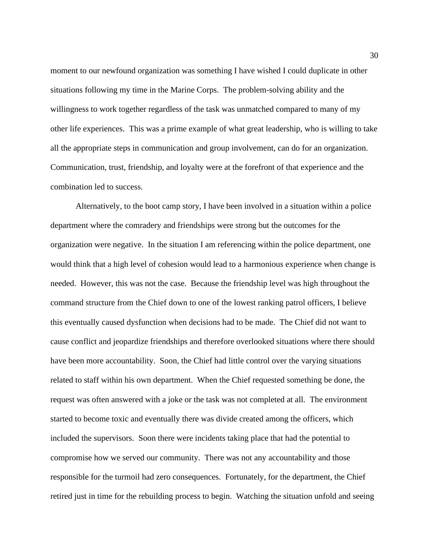moment to our newfound organization was something I have wished I could duplicate in other situations following my time in the Marine Corps. The problem-solving ability and the willingness to work together regardless of the task was unmatched compared to many of my other life experiences. This was a prime example of what great leadership, who is willing to take all the appropriate steps in communication and group involvement, can do for an organization. Communication, trust, friendship, and loyalty were at the forefront of that experience and the combination led to success.

Alternatively, to the boot camp story, I have been involved in a situation within a police department where the comradery and friendships were strong but the outcomes for the organization were negative. In the situation I am referencing within the police department, one would think that a high level of cohesion would lead to a harmonious experience when change is needed. However, this was not the case. Because the friendship level was high throughout the command structure from the Chief down to one of the lowest ranking patrol officers, I believe this eventually caused dysfunction when decisions had to be made. The Chief did not want to cause conflict and jeopardize friendships and therefore overlooked situations where there should have been more accountability. Soon, the Chief had little control over the varying situations related to staff within his own department. When the Chief requested something be done, the request was often answered with a joke or the task was not completed at all. The environment started to become toxic and eventually there was divide created among the officers, which included the supervisors. Soon there were incidents taking place that had the potential to compromise how we served our community. There was not any accountability and those responsible for the turmoil had zero consequences. Fortunately, for the department, the Chief retired just in time for the rebuilding process to begin. Watching the situation unfold and seeing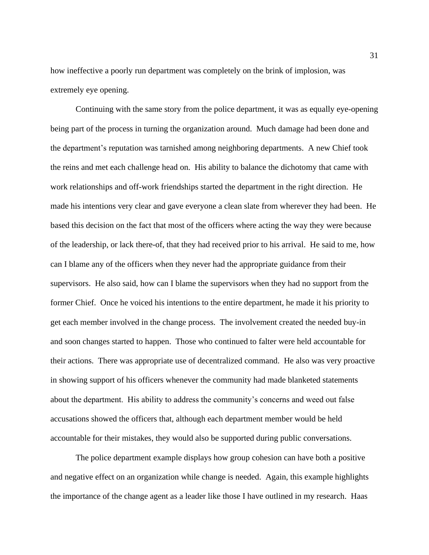how ineffective a poorly run department was completely on the brink of implosion, was extremely eye opening.

Continuing with the same story from the police department, it was as equally eye-opening being part of the process in turning the organization around. Much damage had been done and the department's reputation was tarnished among neighboring departments. A new Chief took the reins and met each challenge head on. His ability to balance the dichotomy that came with work relationships and off-work friendships started the department in the right direction. He made his intentions very clear and gave everyone a clean slate from wherever they had been. He based this decision on the fact that most of the officers where acting the way they were because of the leadership, or lack there-of, that they had received prior to his arrival. He said to me, how can I blame any of the officers when they never had the appropriate guidance from their supervisors. He also said, how can I blame the supervisors when they had no support from the former Chief. Once he voiced his intentions to the entire department, he made it his priority to get each member involved in the change process. The involvement created the needed buy-in and soon changes started to happen. Those who continued to falter were held accountable for their actions. There was appropriate use of decentralized command. He also was very proactive in showing support of his officers whenever the community had made blanketed statements about the department. His ability to address the community's concerns and weed out false accusations showed the officers that, although each department member would be held accountable for their mistakes, they would also be supported during public conversations.

The police department example displays how group cohesion can have both a positive and negative effect on an organization while change is needed. Again, this example highlights the importance of the change agent as a leader like those I have outlined in my research. Haas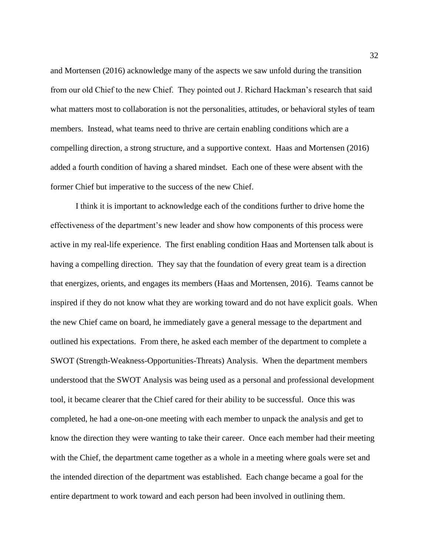and Mortensen (2016) acknowledge many of the aspects we saw unfold during the transition from our old Chief to the new Chief. They pointed out J. Richard Hackman's research that said what matters most to collaboration is not the personalities, attitudes, or behavioral styles of team members. Instead, what teams need to thrive are certain enabling conditions which are a compelling direction, a strong structure, and a supportive context. Haas and Mortensen (2016) added a fourth condition of having a shared mindset. Each one of these were absent with the former Chief but imperative to the success of the new Chief.

I think it is important to acknowledge each of the conditions further to drive home the effectiveness of the department's new leader and show how components of this process were active in my real-life experience. The first enabling condition Haas and Mortensen talk about is having a compelling direction. They say that the foundation of every great team is a direction that energizes, orients, and engages its members (Haas and Mortensen, 2016). Teams cannot be inspired if they do not know what they are working toward and do not have explicit goals. When the new Chief came on board, he immediately gave a general message to the department and outlined his expectations. From there, he asked each member of the department to complete a SWOT (Strength-Weakness-Opportunities-Threats) Analysis. When the department members understood that the SWOT Analysis was being used as a personal and professional development tool, it became clearer that the Chief cared for their ability to be successful. Once this was completed, he had a one-on-one meeting with each member to unpack the analysis and get to know the direction they were wanting to take their career. Once each member had their meeting with the Chief, the department came together as a whole in a meeting where goals were set and the intended direction of the department was established. Each change became a goal for the entire department to work toward and each person had been involved in outlining them.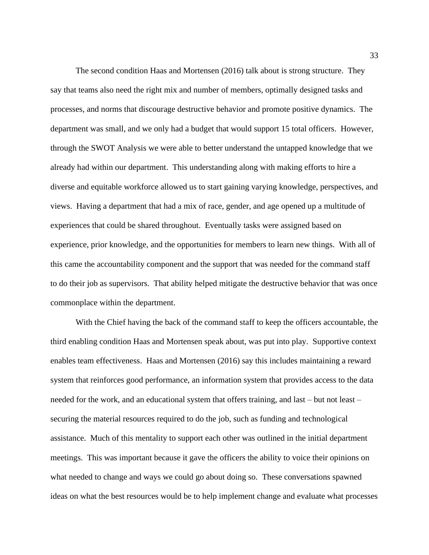The second condition Haas and Mortensen (2016) talk about is strong structure. They say that teams also need the right mix and number of members, optimally designed tasks and processes, and norms that discourage destructive behavior and promote positive dynamics. The department was small, and we only had a budget that would support 15 total officers. However, through the SWOT Analysis we were able to better understand the untapped knowledge that we already had within our department. This understanding along with making efforts to hire a diverse and equitable workforce allowed us to start gaining varying knowledge, perspectives, and views. Having a department that had a mix of race, gender, and age opened up a multitude of experiences that could be shared throughout. Eventually tasks were assigned based on experience, prior knowledge, and the opportunities for members to learn new things. With all of this came the accountability component and the support that was needed for the command staff to do their job as supervisors. That ability helped mitigate the destructive behavior that was once commonplace within the department.

With the Chief having the back of the command staff to keep the officers accountable, the third enabling condition Haas and Mortensen speak about, was put into play. Supportive context enables team effectiveness. Haas and Mortensen (2016) say this includes maintaining a reward system that reinforces good performance, an information system that provides access to the data needed for the work, and an educational system that offers training, and last – but not least – securing the material resources required to do the job, such as funding and technological assistance. Much of this mentality to support each other was outlined in the initial department meetings. This was important because it gave the officers the ability to voice their opinions on what needed to change and ways we could go about doing so. These conversations spawned ideas on what the best resources would be to help implement change and evaluate what processes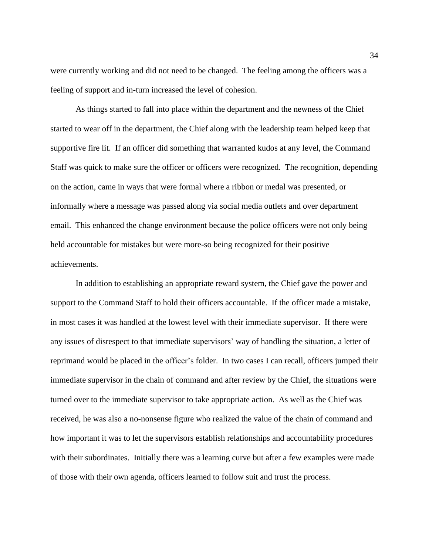were currently working and did not need to be changed. The feeling among the officers was a feeling of support and in-turn increased the level of cohesion.

As things started to fall into place within the department and the newness of the Chief started to wear off in the department, the Chief along with the leadership team helped keep that supportive fire lit. If an officer did something that warranted kudos at any level, the Command Staff was quick to make sure the officer or officers were recognized. The recognition, depending on the action, came in ways that were formal where a ribbon or medal was presented, or informally where a message was passed along via social media outlets and over department email. This enhanced the change environment because the police officers were not only being held accountable for mistakes but were more-so being recognized for their positive achievements.

In addition to establishing an appropriate reward system, the Chief gave the power and support to the Command Staff to hold their officers accountable. If the officer made a mistake, in most cases it was handled at the lowest level with their immediate supervisor. If there were any issues of disrespect to that immediate supervisors' way of handling the situation, a letter of reprimand would be placed in the officer's folder. In two cases I can recall, officers jumped their immediate supervisor in the chain of command and after review by the Chief, the situations were turned over to the immediate supervisor to take appropriate action. As well as the Chief was received, he was also a no-nonsense figure who realized the value of the chain of command and how important it was to let the supervisors establish relationships and accountability procedures with their subordinates. Initially there was a learning curve but after a few examples were made of those with their own agenda, officers learned to follow suit and trust the process.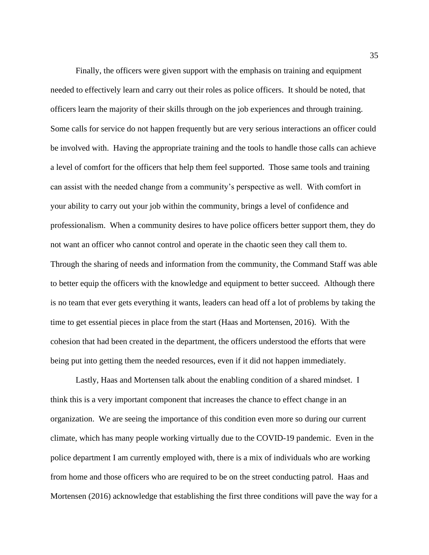Finally, the officers were given support with the emphasis on training and equipment needed to effectively learn and carry out their roles as police officers. It should be noted, that officers learn the majority of their skills through on the job experiences and through training. Some calls for service do not happen frequently but are very serious interactions an officer could be involved with. Having the appropriate training and the tools to handle those calls can achieve a level of comfort for the officers that help them feel supported. Those same tools and training can assist with the needed change from a community's perspective as well. With comfort in your ability to carry out your job within the community, brings a level of confidence and professionalism. When a community desires to have police officers better support them, they do not want an officer who cannot control and operate in the chaotic seen they call them to. Through the sharing of needs and information from the community, the Command Staff was able to better equip the officers with the knowledge and equipment to better succeed. Although there is no team that ever gets everything it wants, leaders can head off a lot of problems by taking the time to get essential pieces in place from the start (Haas and Mortensen, 2016). With the cohesion that had been created in the department, the officers understood the efforts that were being put into getting them the needed resources, even if it did not happen immediately.

Lastly, Haas and Mortensen talk about the enabling condition of a shared mindset. I think this is a very important component that increases the chance to effect change in an organization. We are seeing the importance of this condition even more so during our current climate, which has many people working virtually due to the COVID-19 pandemic. Even in the police department I am currently employed with, there is a mix of individuals who are working from home and those officers who are required to be on the street conducting patrol. Haas and Mortensen (2016) acknowledge that establishing the first three conditions will pave the way for a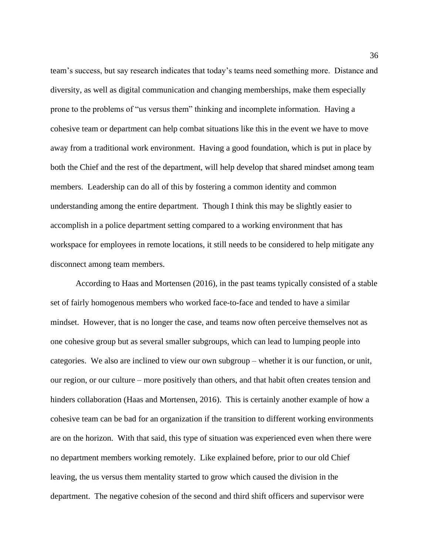team's success, but say research indicates that today's teams need something more. Distance and diversity, as well as digital communication and changing memberships, make them especially prone to the problems of "us versus them" thinking and incomplete information. Having a cohesive team or department can help combat situations like this in the event we have to move away from a traditional work environment. Having a good foundation, which is put in place by both the Chief and the rest of the department, will help develop that shared mindset among team members. Leadership can do all of this by fostering a common identity and common understanding among the entire department. Though I think this may be slightly easier to accomplish in a police department setting compared to a working environment that has workspace for employees in remote locations, it still needs to be considered to help mitigate any disconnect among team members.

According to Haas and Mortensen (2016), in the past teams typically consisted of a stable set of fairly homogenous members who worked face-to-face and tended to have a similar mindset. However, that is no longer the case, and teams now often perceive themselves not as one cohesive group but as several smaller subgroups, which can lead to lumping people into categories. We also are inclined to view our own subgroup – whether it is our function, or unit, our region, or our culture – more positively than others, and that habit often creates tension and hinders collaboration (Haas and Mortensen, 2016). This is certainly another example of how a cohesive team can be bad for an organization if the transition to different working environments are on the horizon. With that said, this type of situation was experienced even when there were no department members working remotely. Like explained before, prior to our old Chief leaving, the us versus them mentality started to grow which caused the division in the department. The negative cohesion of the second and third shift officers and supervisor were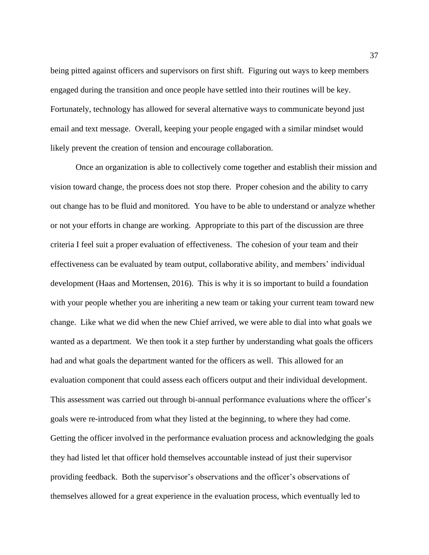being pitted against officers and supervisors on first shift. Figuring out ways to keep members engaged during the transition and once people have settled into their routines will be key. Fortunately, technology has allowed for several alternative ways to communicate beyond just email and text message. Overall, keeping your people engaged with a similar mindset would likely prevent the creation of tension and encourage collaboration.

Once an organization is able to collectively come together and establish their mission and vision toward change, the process does not stop there. Proper cohesion and the ability to carry out change has to be fluid and monitored. You have to be able to understand or analyze whether or not your efforts in change are working. Appropriate to this part of the discussion are three criteria I feel suit a proper evaluation of effectiveness. The cohesion of your team and their effectiveness can be evaluated by team output, collaborative ability, and members' individual development (Haas and Mortensen, 2016). This is why it is so important to build a foundation with your people whether you are inheriting a new team or taking your current team toward new change. Like what we did when the new Chief arrived, we were able to dial into what goals we wanted as a department. We then took it a step further by understanding what goals the officers had and what goals the department wanted for the officers as well. This allowed for an evaluation component that could assess each officers output and their individual development. This assessment was carried out through bi-annual performance evaluations where the officer's goals were re-introduced from what they listed at the beginning, to where they had come. Getting the officer involved in the performance evaluation process and acknowledging the goals they had listed let that officer hold themselves accountable instead of just their supervisor providing feedback. Both the supervisor's observations and the officer's observations of themselves allowed for a great experience in the evaluation process, which eventually led to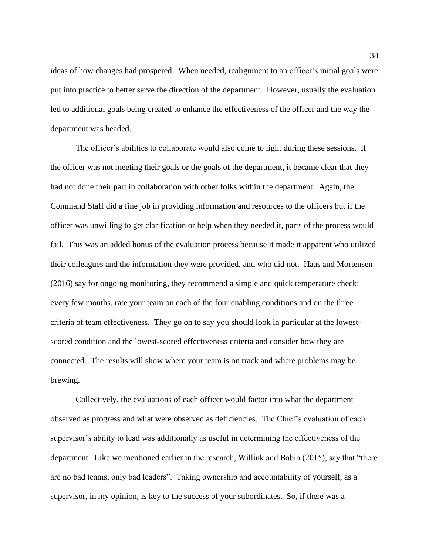ideas of how changes had prospered. When needed, realignment to an officer's initial goals were put into practice to better serve the direction of the department. However, usually the evaluation led to additional goals being created to enhance the effectiveness of the officer and the way the department was headed.

The officer's abilities to collaborate would also come to light during these sessions. If the officer was not meeting their goals or the goals of the department, it became clear that they had not done their part in collaboration with other folks within the department. Again, the Command Staff did a fine job in providing information and resources to the officers but if the officer was unwilling to get clarification or help when they needed it, parts of the process would fail. This was an added bonus of the evaluation process because it made it apparent who utilized their colleagues and the information they were provided, and who did not. Haas and Mortensen (2016) say for ongoing monitoring, they recommend a simple and quick temperature check: every few months, rate your team on each of the four enabling conditions and on the three criteria of team effectiveness. They go on to say you should look in particular at the lowestscored condition and the lowest-scored effectiveness criteria and consider how they are connected. The results will show where your team is on track and where problems may be brewing.

Collectively, the evaluations of each officer would factor into what the department observed as progress and what were observed as deficiencies. The Chief's evaluation of each supervisor's ability to lead was additionally as useful in determining the effectiveness of the department. Like we mentioned earlier in the research, Willink and Babin (2015), say that "there are no bad teams, only bad leaders". Taking ownership and accountability of yourself, as a supervisor, in my opinion, is key to the success of your subordinates. So, if there was a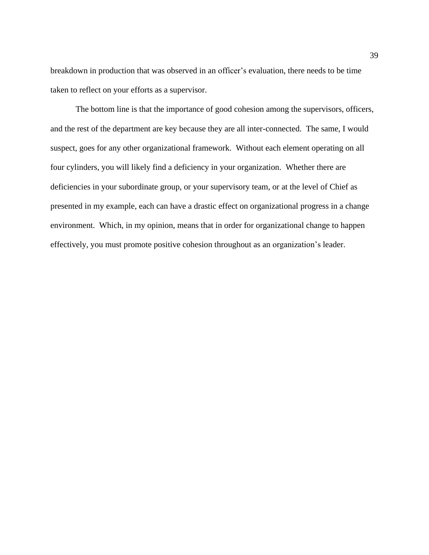breakdown in production that was observed in an officer's evaluation, there needs to be time taken to reflect on your efforts as a supervisor.

The bottom line is that the importance of good cohesion among the supervisors, officers, and the rest of the department are key because they are all inter-connected. The same, I would suspect, goes for any other organizational framework. Without each element operating on all four cylinders, you will likely find a deficiency in your organization. Whether there are deficiencies in your subordinate group, or your supervisory team, or at the level of Chief as presented in my example, each can have a drastic effect on organizational progress in a change environment. Which, in my opinion, means that in order for organizational change to happen effectively, you must promote positive cohesion throughout as an organization's leader.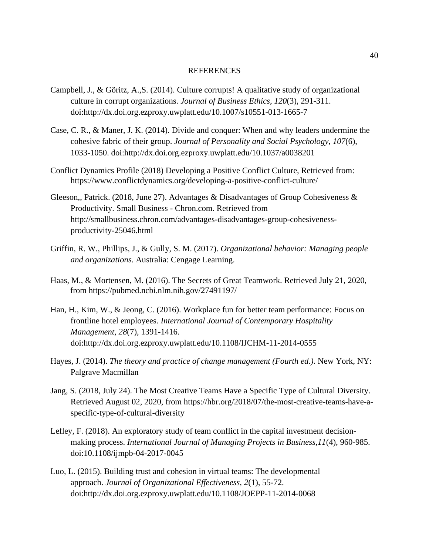#### REFERENCES

- Campbell, J., & Göritz, A.,S. (2014). Culture corrupts! A qualitative study of organizational culture in corrupt organizations. *Journal of Business Ethics, 120*(3), 291-311. doi:http://dx.doi.org.ezproxy.uwplatt.edu/10.1007/s10551-013-1665-7
- Case, C. R., & Maner, J. K. (2014). Divide and conquer: When and why leaders undermine the cohesive fabric of their group. *Journal of Personality and Social Psychology, 107*(6), 1033-1050. doi:http://dx.doi.org.ezproxy.uwplatt.edu/10.1037/a0038201
- Conflict Dynamics Profile (2018) Developing a Positive Conflict Culture, Retrieved from: https://www.conflictdynamics.org/developing-a-positive-conflict-culture/
- Gleeson,, Patrick. (2018, June 27). Advantages & Disadvantages of Group Cohesiveness & Productivity. Small Business - Chron.com. Retrieved from http://smallbusiness.chron.com/advantages-disadvantages-group-cohesivenessproductivity-25046.html
- Griffin, R. W., Phillips, J., & Gully, S. M. (2017). *Organizational behavior: Managing people and organizations*. Australia: Cengage Learning.
- Haas, M., & Mortensen, M. (2016). The Secrets of Great Teamwork. Retrieved July 21, 2020, from https://pubmed.ncbi.nlm.nih.gov/27491197/
- Han, H., Kim, W., & Jeong, C. (2016). Workplace fun for better team performance: Focus on frontline hotel employees. *International Journal of Contemporary Hospitality Management, 28*(7), 1391-1416. doi:http://dx.doi.org.ezproxy.uwplatt.edu/10.1108/IJCHM-11-2014-0555
- Hayes, J. (2014). *The theory and practice of change management (Fourth ed.)*. New York, NY: Palgrave Macmillan
- Jang, S. (2018, July 24). The Most Creative Teams Have a Specific Type of Cultural Diversity. Retrieved August 02, 2020, from https://hbr.org/2018/07/the-most-creative-teams-have-aspecific-type-of-cultural-diversity
- Lefley, F. (2018). An exploratory study of team conflict in the capital investment decisionmaking process. *International Journal of Managing Projects in Business,11*(4), 960-985. doi:10.1108/ijmpb-04-2017-0045
- Luo, L. (2015). Building trust and cohesion in virtual teams: The developmental approach. *Journal of Organizational Effectiveness, 2*(1), 55-72. doi:http://dx.doi.org.ezproxy.uwplatt.edu/10.1108/JOEPP-11-2014-0068